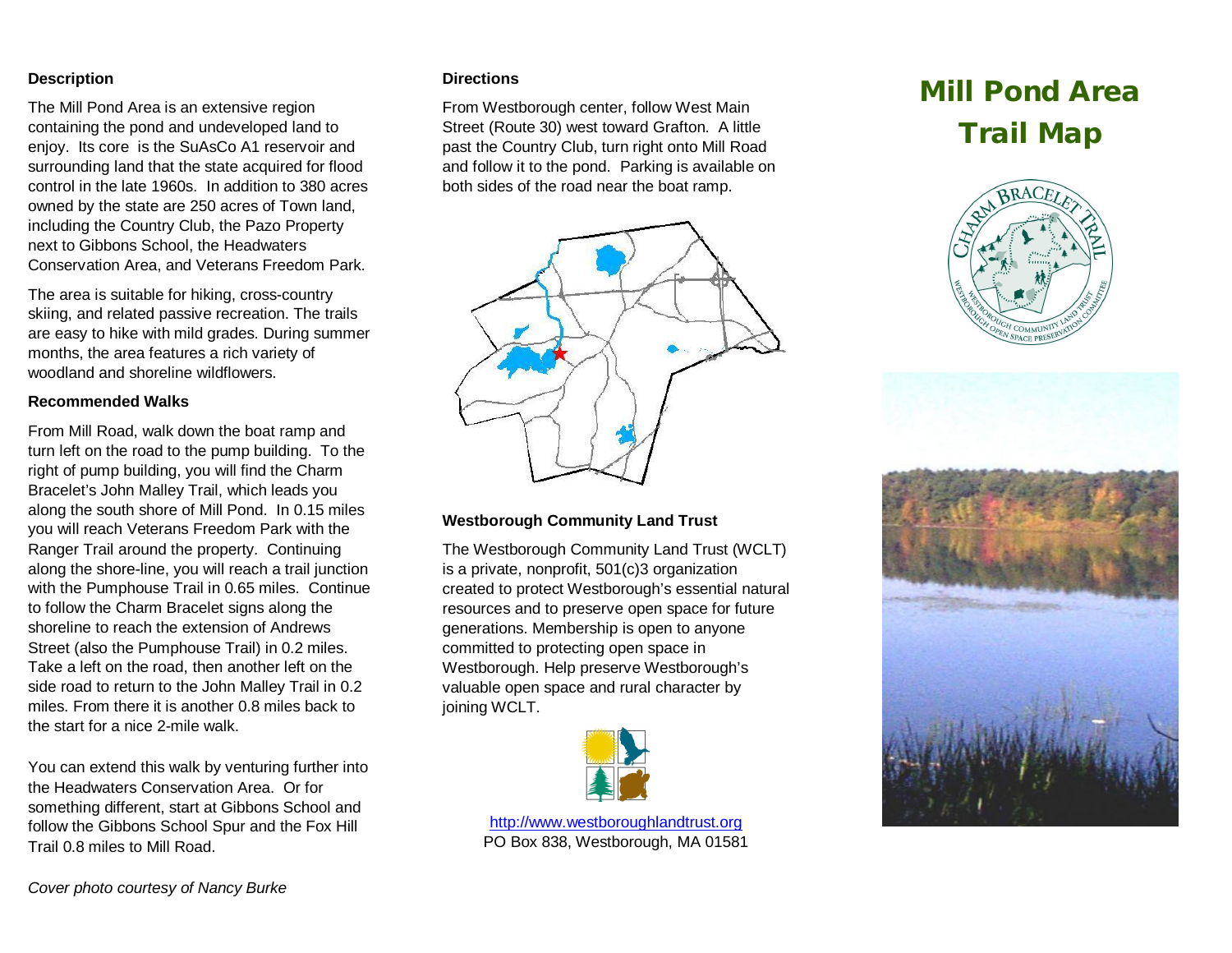#### **Description**

The Mill Pond Area is an extensive region containing the pond and undeveloped land to enjoy. Its core is the SuAsCo A1 reservoir and surrounding land that the state acquired for flood control in the late 1960s. In addition to 380 acres owned by the state are 250 acres of Town land, including the Country Club, the Pazo Property next to Gibbons School, the Headwaters Conservation Area, and Veterans Freedom Park.

The area is suitable for hiking, cross-country skiing, and related passive recreation. The trails are easy to hike with mild grades. During summer months, the area features a rich variety of woodland and shoreline wildflowers.

### **Recommended Walks**

From Mill Road, walk down the boat ramp and turn left on the road to the pump building. To the right of pump building, you will find the Charm Bracelet's John Malley Trail, which leads you along the south shore of Mill Pond. In 0.15 miles you will reach Veterans Freedom Park with the Ranger Trail around the property. Continuing along the shore-line, you will reach a trail junction with the Pumphouse Trail in 0.65 miles. Continue to follow the Charm Bracelet signs along the shoreline to reach the extension of Andrews Street (also the Pumphouse Trail) in 0.2 miles. Take a left on the road, then another left on the side road to return to the John Malley Trail in 0.2 miles. From there it is another 0.8 miles back to the start for a nice 2-mile walk.

You can extend this walk by venturing further into the Headwaters Conservation Area. Or for something different, start at Gibbons School and follow the Gibbons School Spur and the Fox Hill Trail 0.8 miles to Mill Road.

#### **Directions**

From Westborough center, follow West Main Street (Route 30) west toward Grafton. A little past the Country Club, turn right onto Mill Road and follow it to the pond. Parking is available on both sides of the road near the boat ramp.

# **Mill Pond Area Trail Map**





## **Westborough Community Land Trust**

The Westborough Community Land Trust (WCLT) is a private, nonprofit, 501(c)3 organization created to protect Westborough's essential natural resources and to preserve open space for future generations. Membership is open to anyone committed to protecting open space in Westborough. Help preserve Westborough's valuable open space and rural character by joining WCLT.



<http://www.westboroughlandtrust.org> PO Box 838, Westborough, MA 01581